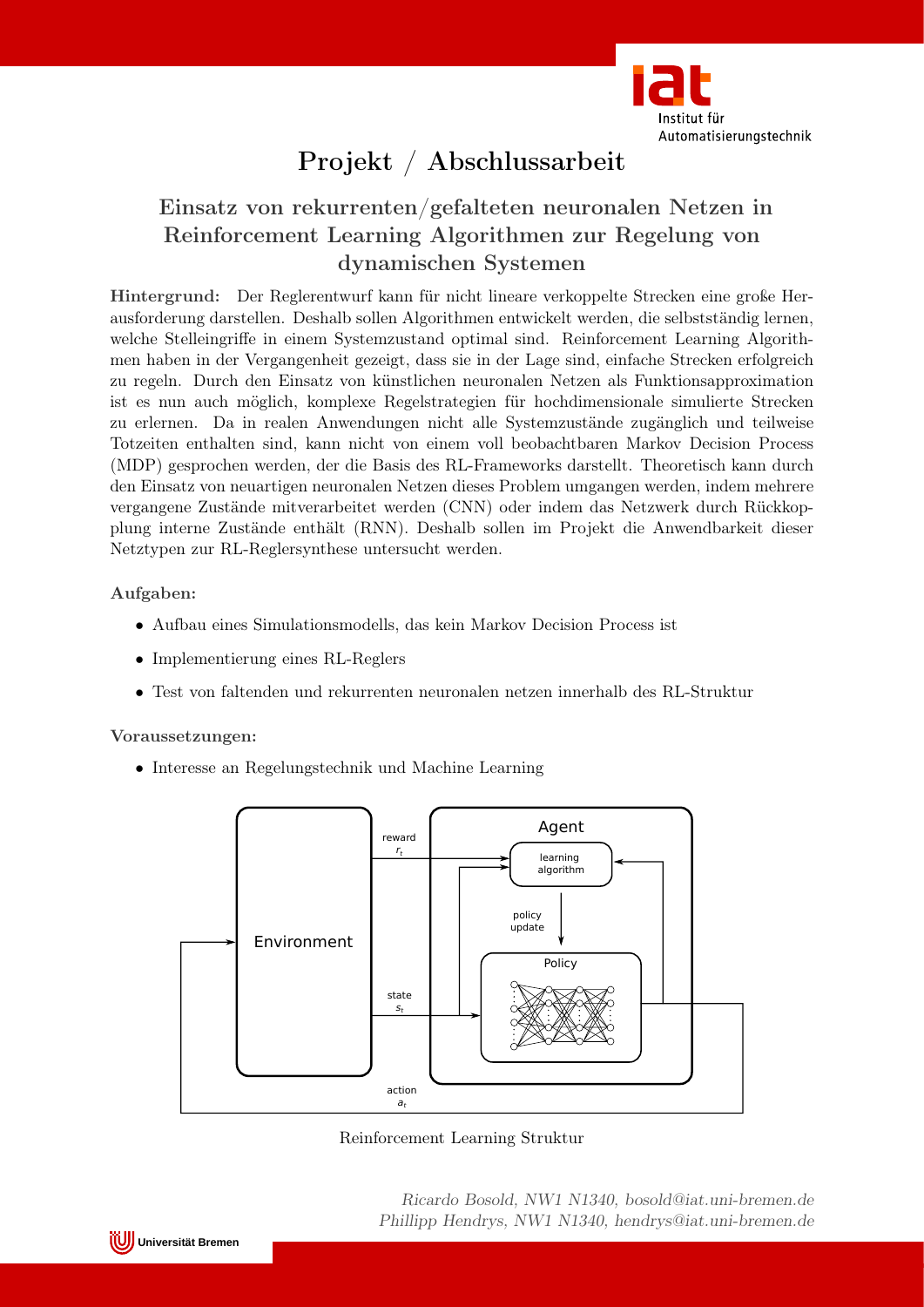

# Projekt / Abschlussarbeit

### Einsatz von rekurrenten/gefalteten neuronalen Netzen in Reinforcement Learning Algorithmen zur Regelung von dynamischen Systemen

Hintergrund: Der Reglerentwurf kann für nicht lineare verkoppelte Strecken eine große Herausforderung darstellen. Deshalb sollen Algorithmen entwickelt werden, die selbstständig lernen, welche Stelleingriffe in einem Systemzustand optimal sind. Reinforcement Learning Algorithmen haben in der Vergangenheit gezeigt, dass sie in der Lage sind, einfache Strecken erfolgreich zu regeln. Durch den Einsatz von künstlichen neuronalen Netzen als Funktionsapproximation ist es nun auch möglich, komplexe Regelstrategien für hochdimensionale simulierte Strecken zu erlernen. Da in realen Anwendungen nicht alle Systemzustände zugänglich und teilweise Totzeiten enthalten sind, kann nicht von einem voll beobachtbaren Markov Decision Process (MDP) gesprochen werden, der die Basis des RL-Frameworks darstellt. Theoretisch kann durch den Einsatz von neuartigen neuronalen Netzen dieses Problem umgangen werden, indem mehrere vergangene Zustände mitverarbeitet werden (CNN) oder indem das Netzwerk durch Rückkopplung interne Zustände enthält (RNN). Deshalb sollen im Projekt die Anwendbarkeit dieser Netztypen zur RL-Reglersynthese untersucht werden.

#### Aufgaben:

- Aufbau eines Simulationsmodells, das kein Markov Decision Process ist
- Implementierung eines RL-Reglers
- Test von faltenden und rekurrenten neuronalen netzen innerhalb des RL-Struktur

#### Voraussetzungen:

• Interesse an Regelungstechnik und Machine Learning



Reinforcement Learning Struktur

Ricardo Bosold, NW1 N1340, bosold@iat.uni-bremen.de Phillipp Hendrys, NW1 N1340, hendrys@iat.uni-bremen.de